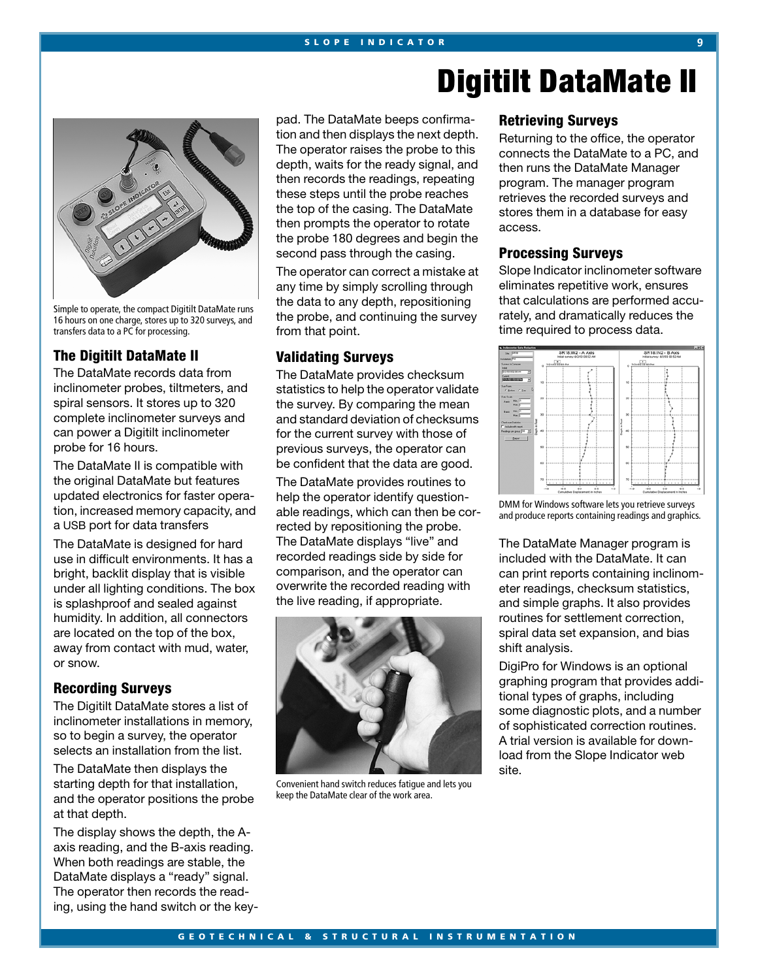# **Digitilt DataMate II**



Simple to operate, the compact Digitilt DataMate runs 16 hours on one charge, stores up to 320 surveys, and transfers data to a PC for processing.

# **The Digitilt DataMate II**

The DataMate records data from inclinometer probes, tiltmeters, and spiral sensors. It stores up to 320 complete inclinometer surveys and can power a Digitilt inclinometer probe for 16 hours.

The DataMate II is compatible with the original DataMate but features updated electronics for faster operation, increased memory capacity, and a USB port for data transfers

The DataMate is designed for hard use in difficult environments. It has a bright, backlit display that is visible under all lighting conditions. The box is splashproof and sealed against humidity. In addition, all connectors are located on the top of the box, away from contact with mud, water, or snow.

# **Recording Surveys**

The Digitilt DataMate stores a list of inclinometer installations in memory, so to begin a survey, the operator selects an installation from the list.

The DataMate then displays the starting depth for that installation, and the operator positions the probe at that depth.

The display shows the depth, the Aaxis reading, and the B-axis reading. When both readings are stable, the DataMate displays a "ready" signal. The operator then records the reading, using the hand switch or the keypad. The DataMate beeps confirmation and then displays the next depth. The operator raises the probe to this depth, waits for the ready signal, and then records the readings, repeating these steps until the probe reaches the top of the casing. The DataMate then prompts the operator to rotate the probe 180 degrees and begin the second pass through the casing.

The operator can correct a mistake at any time by simply scrolling through the data to any depth, repositioning the probe, and continuing the survey from that point.

## **Validating Surveys**

The DataMate provides checksum statistics to help the operator validate the survey. By comparing the mean and standard deviation of checksums for the current survey with those of previous surveys, the operator can be confident that the data are good.

The DataMate provides routines to help the operator identify questionable readings, which can then be corrected by repositioning the probe. The DataMate displays "live" and recorded readings side by side for comparison, and the operator can overwrite the recorded reading with the live reading, if appropriate.



Convenient hand switch reduces fatigue and lets you keep the DataMate clear of the work area.

### **Retrieving Surveys**

Returning to the office, the operator connects the DataMate to a PC, and then runs the DataMate Manager program. The manager program retrieves the recorded surveys and stores them in a database for easy access.

#### **Processing Surveys**

Slope Indicator inclinometer software eliminates repetitive work, ensures that calculations are performed accurately, and dramatically reduces the time required to process data.



DMM for Windows software lets you retrieve surveys and produce reports containing readings and graphics.

The DataMate Manager program is included with the DataMate. It can can print reports containing inclinometer readings, checksum statistics, and simple graphs. It also provides routines for settlement correction, spiral data set expansion, and bias shift analysis.

DigiPro for Windows is an optional graphing program that provides additional types of graphs, including some diagnostic plots, and a number of sophisticated correction routines. A trial version is available for download from the Slope Indicator web site.